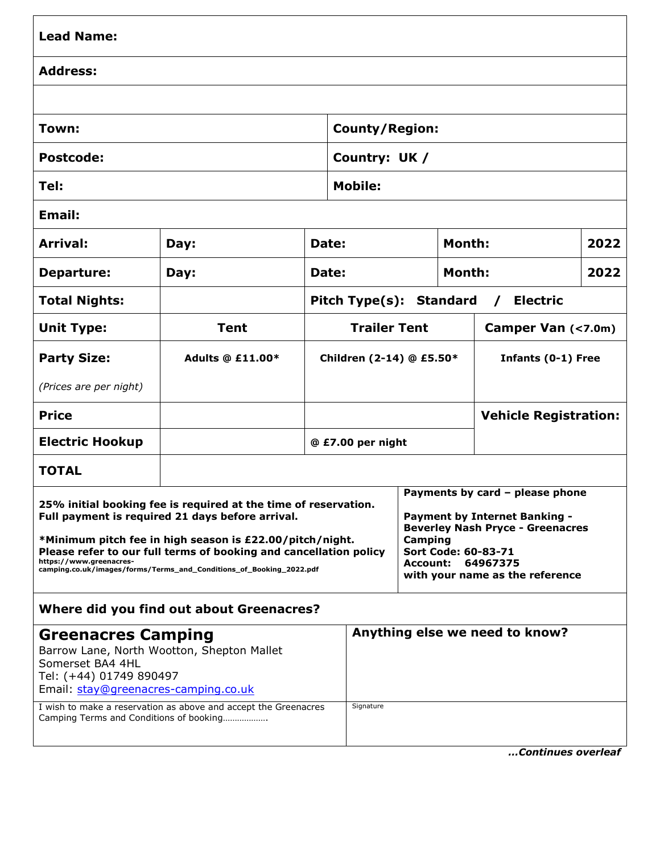| <b>Lead Name:</b>                                                                                                                                                                                                                                                                                                                                      |                         |                                                        |                          |                                                                                                                                                                                                                        |                              |  |      |  |
|--------------------------------------------------------------------------------------------------------------------------------------------------------------------------------------------------------------------------------------------------------------------------------------------------------------------------------------------------------|-------------------------|--------------------------------------------------------|--------------------------|------------------------------------------------------------------------------------------------------------------------------------------------------------------------------------------------------------------------|------------------------------|--|------|--|
| <b>Address:</b>                                                                                                                                                                                                                                                                                                                                        |                         |                                                        |                          |                                                                                                                                                                                                                        |                              |  |      |  |
|                                                                                                                                                                                                                                                                                                                                                        |                         |                                                        |                          |                                                                                                                                                                                                                        |                              |  |      |  |
| Town:                                                                                                                                                                                                                                                                                                                                                  |                         |                                                        | <b>County/Region:</b>    |                                                                                                                                                                                                                        |                              |  |      |  |
| <b>Postcode:</b>                                                                                                                                                                                                                                                                                                                                       |                         |                                                        | Country: UK /            |                                                                                                                                                                                                                        |                              |  |      |  |
| Tel:                                                                                                                                                                                                                                                                                                                                                   |                         |                                                        | <b>Mobile:</b>           |                                                                                                                                                                                                                        |                              |  |      |  |
| <b>Email:</b>                                                                                                                                                                                                                                                                                                                                          |                         |                                                        |                          |                                                                                                                                                                                                                        |                              |  |      |  |
| Arrival:                                                                                                                                                                                                                                                                                                                                               | Day:                    | Date:                                                  |                          |                                                                                                                                                                                                                        | <b>Month:</b>                |  | 2022 |  |
| <b>Departure:</b>                                                                                                                                                                                                                                                                                                                                      | Day:                    |                                                        | Date:                    |                                                                                                                                                                                                                        | Month:                       |  | 2022 |  |
| <b>Total Nights:</b>                                                                                                                                                                                                                                                                                                                                   |                         | <b>Electric</b><br>Pitch Type(s): Standard<br>$\prime$ |                          |                                                                                                                                                                                                                        |                              |  |      |  |
| <b>Unit Type:</b>                                                                                                                                                                                                                                                                                                                                      | <b>Tent</b>             |                                                        | <b>Trailer Tent</b>      |                                                                                                                                                                                                                        | Camper Van (<7.0m)           |  |      |  |
| <b>Party Size:</b>                                                                                                                                                                                                                                                                                                                                     | <b>Adults @ £11.00*</b> |                                                        | Children (2-14) @ £5.50* |                                                                                                                                                                                                                        | Infants (0-1) Free           |  |      |  |
| (Prices are per night)                                                                                                                                                                                                                                                                                                                                 |                         |                                                        |                          |                                                                                                                                                                                                                        |                              |  |      |  |
| <b>Price</b>                                                                                                                                                                                                                                                                                                                                           |                         |                                                        |                          |                                                                                                                                                                                                                        | <b>Vehicle Registration:</b> |  |      |  |
| <b>Electric Hookup</b>                                                                                                                                                                                                                                                                                                                                 |                         |                                                        | @ £7.00 per night        |                                                                                                                                                                                                                        |                              |  |      |  |
| <b>TOTAL</b>                                                                                                                                                                                                                                                                                                                                           |                         |                                                        |                          |                                                                                                                                                                                                                        |                              |  |      |  |
| 25% initial booking fee is required at the time of reservation.<br>Full payment is required 21 days before arrival.<br>*Minimum pitch fee in high season is £22.00/pitch/night.<br>Please refer to our full terms of booking and cancellation policy<br>https://www.greenacres-<br>camping.co.uk/images/forms/Terms_and_Conditions_of_Booking_2022.pdf |                         |                                                        |                          | Payments by card - please phone<br><b>Payment by Internet Banking -</b><br><b>Beverley Nash Pryce - Greenacres</b><br>Camping<br>Sort Code: 60-83-71<br><b>Account:</b><br>64967375<br>with your name as the reference |                              |  |      |  |
| <b>Where did you find out about Greenacres?</b>                                                                                                                                                                                                                                                                                                        |                         |                                                        |                          |                                                                                                                                                                                                                        |                              |  |      |  |
| <b>Greenacres Camping</b><br>Barrow Lane, North Wootton, Shepton Mallet<br>Somerset BA4 4HL<br>Tel: (+44) 01749 890497<br>Email: stay@greenacres-camping.co.uk                                                                                                                                                                                         |                         |                                                        |                          | Anything else we need to know?                                                                                                                                                                                         |                              |  |      |  |
| I wish to make a reservation as above and accept the Greenacres<br>Camping Terms and Conditions of booking                                                                                                                                                                                                                                             |                         |                                                        | Signature                |                                                                                                                                                                                                                        |                              |  |      |  |

*…Continues overleaf*